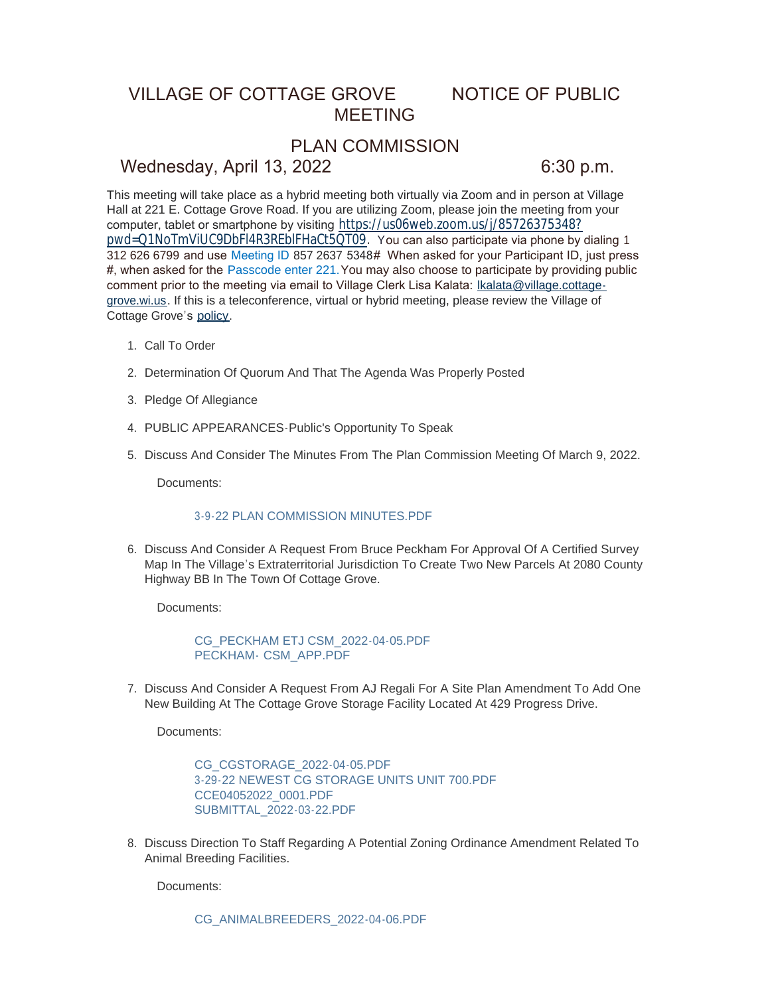# VILLAGE OF COTTAGE GROVE NOTICE OF PUBLIC MEETING

## PLAN COMMISSION

### Wednesday, April 13, 2022 6:30 p.m.

This meeting will take place as a hybrid meeting both virtually via Zoom and in person at Village Hall at 221 E. Cottage Grove Road. If you are utilizing Zoom, please join the meeting from your computer, tablet or smartphone by visiting [https://us06web.zoom.us/j/85726375348?](https://us06web.zoom.us/j/85726375348?pwd=Q1NoTmViUC9DbFl4R3REblFHaCt5QT09) pwd=Q1NoTmViUC9DbFl4R3REblFHaCt5QT09. You can also participate via phone by dialing 1 312 626 6799 and use Meeting ID 857 2637 5348# When asked for your Participant ID, just press #, when asked for the Passcode enter 221.You may also choose to participate by providing public comment prior to the meeting via email to Village Clerk Lisa Kalata: Ikalata@village.cottagegrove.wi.us. If this is a teleconference, virtual or hybrid meeting, plea[se review the Village of](mailto:lkalata@village.cottage-grove.wi.us)  Cottage Grove's [policy](https://www.vi.cottagegrove.wi.gov/DocumentCenter/View/1850/Virtual-Hybrid-Tele-meeting-Policy-Final).

- 1. Call To Order
- 2. Determination Of Quorum And That The Agenda Was Properly Posted
- 3. Pledge Of Allegiance
- PUBLIC APPEARANCES-Public's Opportunity To Speak 4.
- 5. Discuss And Consider The Minutes From The Plan Commission Meeting Of March 9, 2022.

Documents:

#### [3-9-22 PLAN COMMISSION MINUTES.PDF](https://www.vi.cottagegrove.wi.gov/AgendaCenter/ViewFile/Item/9858?fileID=19469)

6. Discuss And Consider A Request From Bruce Peckham For Approval Of A Certified Survey Map In The Village's Extraterritorial Jurisdiction To Create Two New Parcels At 2080 County Highway BB In The Town Of Cottage Grove.

Documents:

[CG\\_PECKHAM ETJ CSM\\_2022-04-05.PDF](https://www.vi.cottagegrove.wi.gov/AgendaCenter/ViewFile/Item/9859?fileID=19470) PECKHAM- [CSM\\_APP.PDF](https://www.vi.cottagegrove.wi.gov/AgendaCenter/ViewFile/Item/9859?fileID=19471)

7. Discuss And Consider A Request From AJ Regali For A Site Plan Amendment To Add One New Building At The Cottage Grove Storage Facility Located At 429 Progress Drive.

Documents:

[CG\\_CGSTORAGE\\_2022-04-05.PDF](https://www.vi.cottagegrove.wi.gov/AgendaCenter/ViewFile/Item/9860?fileID=19472) [3-29-22 NEWEST CG STORAGE UNITS UNIT 700.PDF](https://www.vi.cottagegrove.wi.gov/AgendaCenter/ViewFile/Item/9860?fileID=19473) [CCE04052022\\_0001.PDF](https://www.vi.cottagegrove.wi.gov/AgendaCenter/ViewFile/Item/9860?fileID=19474) [SUBMITTAL\\_2022-03-22.PDF](https://www.vi.cottagegrove.wi.gov/AgendaCenter/ViewFile/Item/9860?fileID=19475)

8. Discuss Direction To Staff Regarding A Potential Zoning Ordinance Amendment Related To Animal Breeding Facilities.

Documents:

[CG\\_ANIMALBREEDERS\\_2022-04-06.PDF](https://www.vi.cottagegrove.wi.gov/AgendaCenter/ViewFile/Item/9861?fileID=19476)